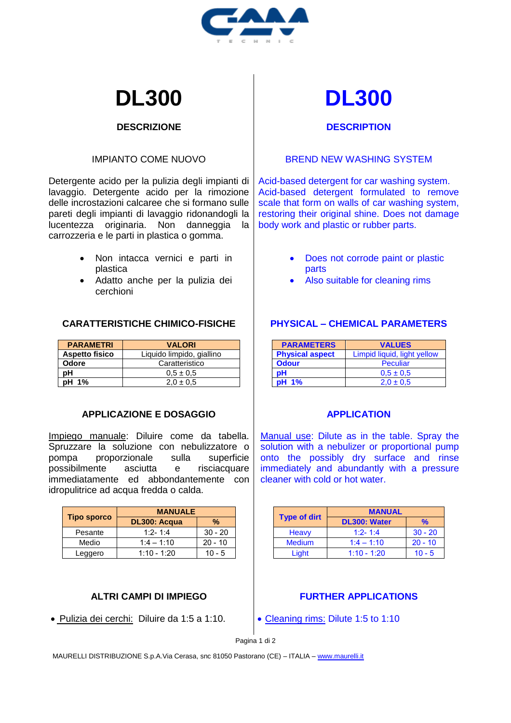

# **DL300 DL300**

# **DESCRIZIONE**

# IMPIANTO COME NUOVO

Detergente acido per la pulizia degli impianti di lavaggio. Detergente acido per la rimozione delle incrostazioni calcaree che si formano sulle pareti degli impianti di lavaggio ridonandogli la lucentezza originaria. Non danneggia la carrozzeria e le parti in plastica o gomma.

- Non intacca vernici e parti in plastica
- Adatto anche per la pulizia dei cerchioni

# **CARATTERISTICHE CHIMICO-FISICHE**

| <b>PARAMETRI</b>      | <b>VALORI</b>             |
|-----------------------|---------------------------|
| <b>Aspetto fisico</b> | Liquido limpido, giallino |
| <b>Odore</b>          | Caratteristico            |
| pН                    | $0.5 \pm 0.5$             |
| pH 1%                 | $2.0 \pm 0.5$             |

# **APPLICAZIONE E DOSAGGIO**

Impiego manuale: Diluire come da tabella. Spruzzare la soluzione con nebulizzatore o pompa proporzionale sulla superficie possibilmente asciutta e risciacquare immediatamente ed abbondantemente con idropulitrice ad acqua fredda o calda.

|                    | <b>MANUALE</b> |           |
|--------------------|----------------|-----------|
| <b>Tipo sporco</b> | DL300: Acqua   | %         |
| Pesante            | $1:2 - 1:4$    | $30 - 20$ |
| Medio              | $1:4 - 1:10$   | $20 - 10$ |
| Leggero            | $1:10 - 1:20$  | $10 - 5$  |

# **ALTRI CAMPI DI IMPIEGO**

• Pulizia dei cerchi: Diluire da 1:5 a 1:10.

# **DESCRIPTION**

#### BREND NEW WASHING SYSTEM

Acid-based detergent for car washing system. Acid-based detergent formulated to remove scale that form on walls of car washing system. restoring their original shine. Does not damage body work and plastic or rubber parts.

- Does not corrode paint or plastic parts
- Also suitable for cleaning rims

# **PHYSICAL – CHEMICAL PARAMETERS**

| <b>PARAMETERS</b>      | <b>VALUES</b>               |
|------------------------|-----------------------------|
| <b>Physical aspect</b> | Limpid liquid, light yellow |
| <b>Odour</b>           | Peculiar                    |
| pН                     | $0.5 \pm 0.5$               |
| <b>pH</b> 1%           | $2.0 \pm 0.5$               |

# **APPLICATION**

Manual use: Dilute as in the table. Spray the solution with a nebulizer or proportional pump onto the possibly dry surface and rinse immediately and abundantly with a pressure cleaner with cold or hot water.

|                     | <b>MANUAL</b> |           |
|---------------------|---------------|-----------|
| <b>Type of dirt</b> | DL300: Water  | %         |
| <b>Heavy</b>        | $1:2 - 1:4$   | $30 - 20$ |
| <b>Medium</b>       | $1:4 - 1:10$  | $20 - 10$ |
| Light               | $1:10 - 1:20$ | $10 - 5$  |

# **FURTHER APPLICATIONS**

• Cleaning rims: Dilute 1:5 to 1:10

Pagina 1 di 2